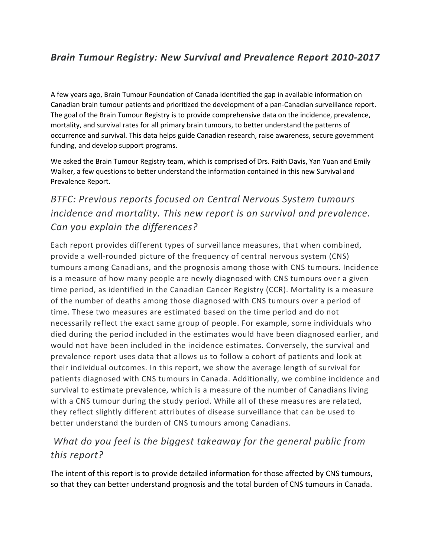#### *Brain Tumour Registry: New Survival and Prevalence Report 2010-2017*

A few years ago, Brain Tumour Foundation of Canada identified the gap in available information on Canadian brain tumour patients and prioritized the development of a pan-Canadian surveillance report. The goal of the Brain Tumour Registry is to provide comprehensive data on the incidence, prevalence, mortality, and survival rates for all primary brain tumours, to better understand the patterns of occurrence and survival. This data helps guide Canadian research, raise awareness, secure government funding, and develop support programs.

We asked the Brain Tumour Registry team, which is comprised of Drs. Faith Davis, Yan Yuan and Emily Walker, a few questions to better understand the information contained in this new Survival and Prevalence Report.

# *BTFC: Previous reports focused on Central Nervous System tumours incidence and mortality. This new report is on survival and prevalence. Can you explain the differences?*

Each report provides different types of surveillance measures, that when combined, provide a well-rounded picture of the frequency of central nervous system (CNS) tumours among Canadians, and the prognosis among those with CNS tumours. Incidence is a measure of how many people are newly diagnosed with CNS tumours over a given time period, as identified in the Canadian Cancer Registry (CCR). Mortality is a measure of the number of deaths among those diagnosed with CNS tumours over a period of time. These two measures are estimated based on the time period and do not necessarily reflect the exact same group of people. For example, some individuals who died during the period included in the estimates would have been diagnosed earlier, and would not have been included in the incidence estimates. Conversely, the survival and prevalence report uses data that allows us to follow a cohort of patients and look at their individual outcomes. In this report, we show the average length of survival for patients diagnosed with CNS tumours in Canada. Additionally, we combine incidence and survival to estimate prevalence, which is a measure of the number of Canadians living with a CNS tumour during the study period. While all of these measures are related, they reflect slightly different attributes of disease surveillance that can be used to better understand the burden of CNS tumours among Canadians.

### *What do you feel is the biggest takeaway for the general public from this report?*

The intent of this report is to provide detailed information for those affected by CNS tumours, so that they can better understand prognosis and the total burden of CNS tumours in Canada.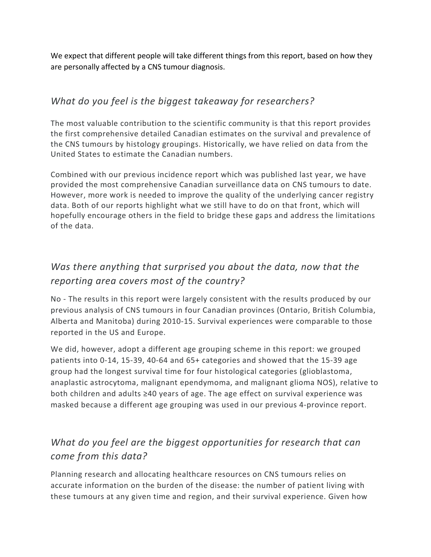We expect that different people will take different things from this report, based on how they are personally affected by a CNS tumour diagnosis.

#### *What do you feel is the biggest takeaway for researchers?*

The most valuable contribution to the scientific community is that this report provides the first comprehensive detailed Canadian estimates on the survival and prevalence of the CNS tumours by histology groupings. Historically, we have relied on data from the United States to estimate the Canadian numbers.

Combined with our previous incidence report which was published last year, we have provided the most comprehensive Canadian surveillance data on CNS tumours to date. However, more work is needed to improve the quality of the underlying cancer registry data. Both of our reports highlight what we still have to do on that front, which will hopefully encourage others in the field to bridge these gaps and address the limitations of the data.

# *Was there anything that surprised you about the data, now that the reporting area covers most of the country?*

No - The results in this report were largely consistent with the results produced by our previous analysis of CNS tumours in four Canadian provinces (Ontario, British Columbia, Alberta and Manitoba) during 2010-15. Survival experiences were comparable to those reported in the US and Europe.

We did, however, adopt a different age grouping scheme in this report: we grouped patients into 0-14, 15-39, 40-64 and 65+ categories and showed that the 15-39 age group had the longest survival time for four histological categories (glioblastoma, anaplastic astrocytoma, malignant ependymoma, and malignant glioma NOS), relative to both children and adults ≥40 years of age. The age effect on survival experience was masked because a different age grouping was used in our previous 4-province report.

### *What do you feel are the biggest opportunities for research that can come from this data?*

Planning research and allocating healthcare resources on CNS tumours relies on accurate information on the burden of the disease: the number of patient living with these tumours at any given time and region, and their survival experience. Given how